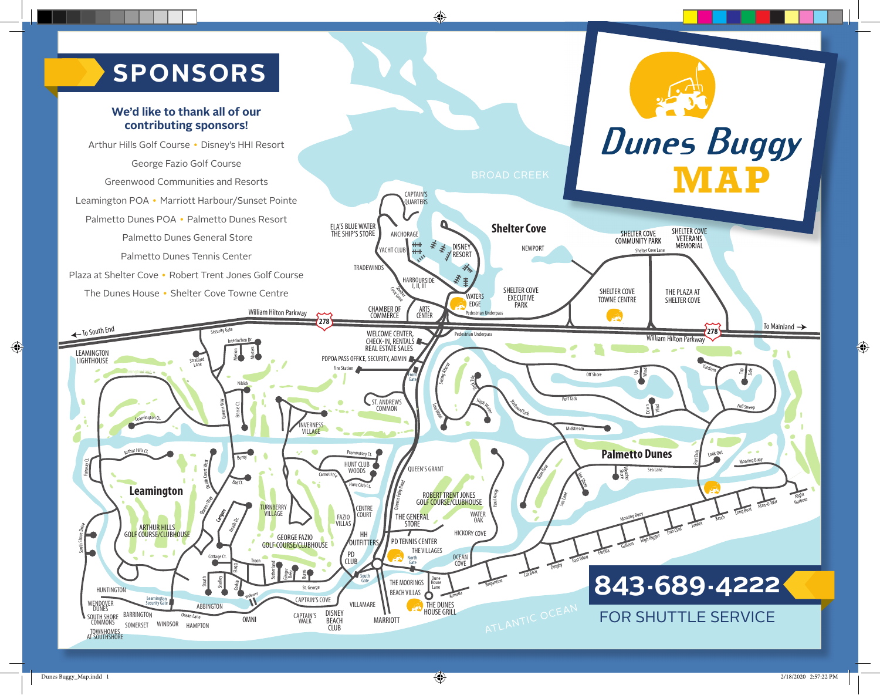## **The Dunes Bug- SPONSORS**

#### **We'd like to thank all of our contributing sponsors!**

Ocean Lane

HAMPTON

WINDSOR

BARRINGTON

SOMERSET

WENDOVER DUNES

SOUTH SHORE COMMONS

TOWNHOMES AT SOUTHSHORE

**Dunes Buggy** Arthur Hills Golf Course • Disney's HHI Resort George Fazio Golf Course **MAP** Greenwood Communities and Resorts CAPTAIN'S Leamington POA • Marriott Harbour/Sunset Pointe OUARTERS Palmetto Dunes POA • Palmetto Dunes Resort **Shelter Cove** ELA'S BLUE WATER<br>THE SHIP'S STORE ANCHORAGE SHELTER COVE SHELTER COVE COMMUNITY PARK Palmetto Dunes General Store VETERANS ≣ **MEMORIAL** ₹ YACHT CLUB DISNEY RESORT NEWPORT Shelter Cove Lane Palmetto Dunes Tennis Center TRADEWINDS Plaza at Shelter Cove • Robert Trent Jones Golf Course لاد **E** HARBOURSIDE SHELTER COVE S SHELTER COVE THE PLAZA AT The Dunes House • Shelter Cove Towne Centre **WATERS** EXECUTIVE PARK TOWNE CENTRE SHELTER COVE EDGE CHAMBER OF COMMERCE William Hilton Parkway ARTS CENTER **Pedestrian Underpas**  $\mathcal{R}$ **278** To South End Security Gale Security Cale and the Company of the CENTER, and the Pedestrian Underpass Security Gate WELCOME CENTER, CHECK-IN, RENTALS William Hilton Parkway Interlochen Dr. REAL ESTATE SALES E<br>Massac LEAMINGTON PDPOA PASS OFFICE, SECURITY, ADMIN **LIGHTHOUSE** Stratford<br>Lane Swing About **Fire Station** Leamington Lane  $OffShon$ ≞∥š Front State High Water State High Tack Gate Brassie Ct.<br>Brassie Ct. ST. ANDREWS Port Tack Way **COMMON** Low Mar Down Wind Queens Leamington Ct. **NVERNESS** Midstream VILLAGE <sub>thur</sub> Hills Ct. Promontory Ct. **Palmetto Dunes** Benty Fairway Ct. Heath Court West HUNT CLUB Rum Row QUEEN'S GRANT<br>
EXERCISE<br>
FOLLY COLLECTIVE  $\mathsf{I}$  is a set WOODS Sea Lane Carnous*ti<sub>e</sub>* Lee Shore EndCt. lunt Club Ct. **Leamington** Haul Away ROBERT TRENT JONES Sea Lane Queens Way GOLF COURSE/CLUBHOUSE Cat Boat Dinghy East Wind Florida Gallery High Rigger Iron Clad Junket Ketch Long Boat Man-O-War **CENTRE** TURNBERRY VILLAGE Grape WATER **COURT** THE GENERAL Mooring Buoy FAZIO VILLAS **OAK** Heath Dr. **STORE** South Shore *Drive* **ARTHUR HILLS<br>GOLF COURSE/CLUBHOUSE** HICKORY COVE HH GEORGE FAZIO PD TENNIS CENTER **OUTFITTERS** GOLF COURSE/CLUBHOUSE THE VILLAGES PD Cottage Ct. OCEAN COVE CLUB North Gate Troon **Sutherland** Flagg Ginger<br>Beer Burns South Gate **843-689-4222** Strath Shelley THE MOORINGS Dune House Armada Brigantine Cockle St. George BEACH VILLAS l Tane HUNTINGTON **Walkway** CAPTAIN'S COVE Leamington A<br>ecurity Gate A ATLANTIC OCEAN VILLAMARE THE DUNES

CAPTAIN'S WALK

OMNI

DISNEY BEACH CLUB

MARRIOTT

**HOUSE GRILL** 

#### FOR SHUTTLE SERVICE

Port Tack Look Out

Yardarm

**278**

Mooring Buoy

g Side

*Full Swee*p

Night

To Mainland  $\rightarrow$